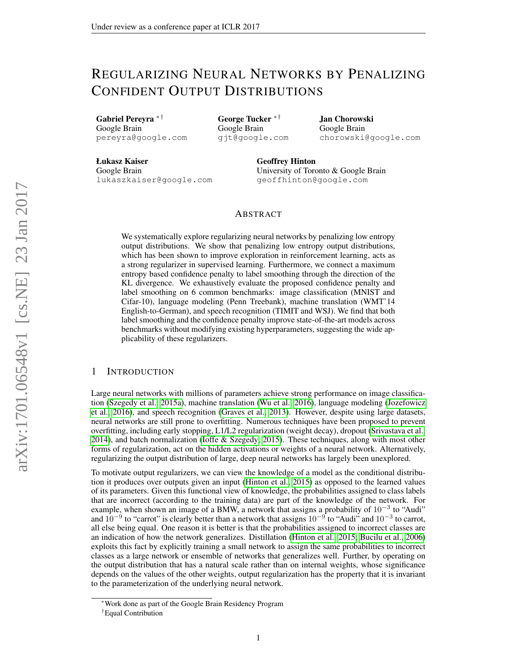# REGULARIZING NEURAL NETWORKS BY PENALIZING CONFIDENT OUTPUT DISTRIBUTIONS

Gabriel Pereyra ∗ † Google Brain pereyra@google.com George Tucker ∗ † Google Brain gjt@google.com

Jan Chorowski Google Brain chorowski@google.com

Łukasz Kaiser Google Brain lukaszkaiser@google.com Geoffrey Hinton University of Toronto & Google Brain geoffhinton@google.com

## ABSTRACT

We systematically explore regularizing neural networks by penalizing low entropy output distributions. We show that penalizing low entropy output distributions, which has been shown to improve exploration in reinforcement learning, acts as a strong regularizer in supervised learning. Furthermore, we connect a maximum entropy based confidence penalty to label smoothing through the direction of the KL divergence. We exhaustively evaluate the proposed confidence penalty and label smoothing on 6 common benchmarks: image classification (MNIST and Cifar-10), language modeling (Penn Treebank), machine translation (WMT'14 English-to-German), and speech recognition (TIMIT and WSJ). We find that both label smoothing and the confidence penalty improve state-of-the-art models across benchmarks without modifying existing hyperparameters, suggesting the wide applicability of these regularizers.

## 1 INTRODUCTION

Large neural networks with millions of parameters achieve strong performance on image classification [\(Szegedy et al., 2015a\)](#page-9-0), machine translation [\(Wu et al., 2016\)](#page-9-1), language modeling [\(Jozefowicz](#page-8-0) [et al., 2016\)](#page-8-0), and speech recognition [\(Graves et al., 2013\)](#page-8-1). However, despite using large datasets, neural networks are still prone to overfitting. Numerous techniques have been proposed to prevent overfitting, including early stopping, L1/L2 regularization (weight decay), dropout [\(Srivastava et al.,](#page-9-2) [2014\)](#page-9-2), and batch normalization [\(Ioffe & Szegedy, 2015\)](#page-8-2). These techniques, along with most other forms of regularization, act on the hidden activations or weights of a neural network. Alternatively, regularizing the output distribution of large, deep neural networks has largely been unexplored.

To motivate output regularizers, we can view the knowledge of a model as the conditional distribution it produces over outputs given an input [\(Hinton et al., 2015\)](#page-8-3) as opposed to the learned values of its parameters. Given this functional view of knowledge, the probabilities assigned to class labels that are incorrect (according to the training data) are part of the knowledge of the network. For example, when shown an image of a BMW, a network that assigns a probability of  $10^{-3}$  to "Audi" and  $10^{-9}$  to "carrot" is clearly better than a network that assigns  $10^{-9}$  to "Audi" and  $10^{-3}$  to carrot, all else being equal. One reason it is better is that the probabilities assigned to incorrect classes are an indication of how the network generalizes. Distillation [\(Hinton et al., 2015;](#page-8-3) [Bucilu et al., 2006\)](#page-7-0) exploits this fact by explicitly training a small network to assign the same probabilities to incorrect classes as a large network or ensemble of networks that generalizes well. Further, by operating on the output distribution that has a natural scale rather than on internal weights, whose significance depends on the values of the other weights, output regularization has the property that it is invariant to the parameterization of the underlying neural network.

<sup>∗</sup>Work done as part of the Google Brain Residency Program †Equal Contribution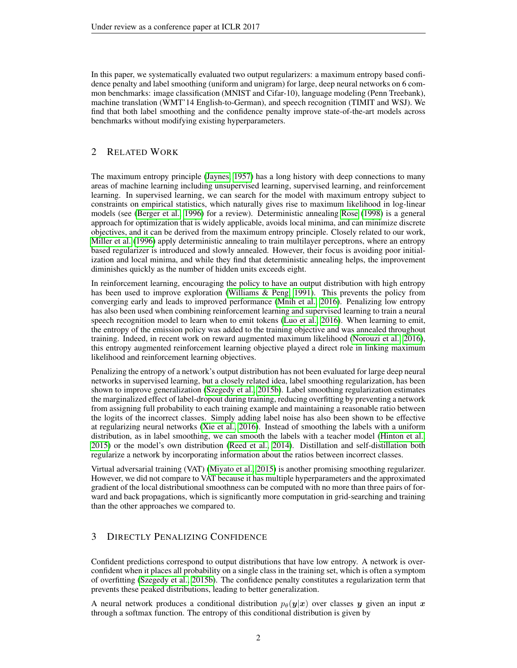In this paper, we systematically evaluated two output regularizers: a maximum entropy based confidence penalty and label smoothing (uniform and unigram) for large, deep neural networks on 6 common benchmarks: image classification (MNIST and Cifar-10), language modeling (Penn Treebank), machine translation (WMT'14 English-to-German), and speech recognition (TIMIT and WSJ). We find that both label smoothing and the confidence penalty improve state-of-the-art models across benchmarks without modifying existing hyperparameters.

## 2 RELATED WORK

The maximum entropy principle [\(Jaynes, 1957\)](#page-8-4) has a long history with deep connections to many areas of machine learning including unsupervised learning, supervised learning, and reinforcement learning. In supervised learning, we can search for the model with maximum entropy subject to constraints on empirical statistics, which naturally gives rise to maximum likelihood in log-linear models (see [\(Berger et al., 1996\)](#page-7-1) for a review). Deterministic annealing [Rose](#page-9-3) [\(1998\)](#page-9-3) is a general approach for optimization that is widely applicable, avoids local minima, and can minimize discrete objectives, and it can be derived from the maximum entropy principle. Closely related to our work, [Miller et al.](#page-8-5) [\(1996\)](#page-8-5) apply deterministic annealing to train multilayer perceptrons, where an entropy based regularizer is introduced and slowly annealed. However, their focus is avoiding poor initialization and local minima, and while they find that deterministic annealing helps, the improvement diminishes quickly as the number of hidden units exceeds eight.

In reinforcement learning, encouraging the policy to have an output distribution with high entropy has been used to improve exploration [\(Williams & Peng, 1991\)](#page-9-4). This prevents the policy from converging early and leads to improved performance [\(Mnih et al., 2016\)](#page-9-5). Penalizing low entropy has also been used when combining reinforcement learning and supervised learning to train a neural speech recognition model to learn when to emit tokens [\(Luo et al., 2016\)](#page-8-6). When learning to emit, the entropy of the emission policy was added to the training objective and was annealed throughout training. Indeed, in recent work on reward augmented maximum likelihood [\(Norouzi et al., 2016\)](#page-9-6), this entropy augmented reinforcement learning objective played a direct role in linking maximum likelihood and reinforcement learning objectives.

Penalizing the entropy of a network's output distribution has not been evaluated for large deep neural networks in supervised learning, but a closely related idea, label smoothing regularization, has been shown to improve generalization [\(Szegedy et al., 2015b\)](#page-9-7). Label smoothing regularization estimates the marginalized effect of label-dropout during training, reducing overfitting by preventing a network from assigning full probability to each training example and maintaining a reasonable ratio between the logits of the incorrect classes. Simply adding label noise has also been shown to be effective at regularizing neural networks [\(Xie et al., 2016\)](#page-9-8). Instead of smoothing the labels with a uniform distribution, as in label smoothing, we can smooth the labels with a teacher model [\(Hinton et al.,](#page-8-3) [2015\)](#page-8-3) or the model's own distribution [\(Reed et al., 2014\)](#page-9-9). Distillation and self-distillation both regularize a network by incorporating information about the ratios between incorrect classes.

Virtual adversarial training (VAT) [\(Miyato et al., 2015\)](#page-9-10) is another promising smoothing regularizer. However, we did not compare to VAT because it has multiple hyperparameters and the approximated gradient of the local distributional smoothness can be computed with no more than three pairs of forward and back propagations, which is significantly more computation in grid-searching and training than the other approaches we compared to.

# 3 DIRECTLY PENALIZING CONFIDENCE

Confident predictions correspond to output distributions that have low entropy. A network is overconfident when it places all probability on a single class in the training set, which is often a symptom of overfitting [\(Szegedy et al., 2015b\)](#page-9-7). The confidence penalty constitutes a regularization term that prevents these peaked distributions, leading to better generalization.

A neural network produces a conditional distribution  $p_{\theta}(y|x)$  over classes y given an input x through a softmax function. The entropy of this conditional distribution is given by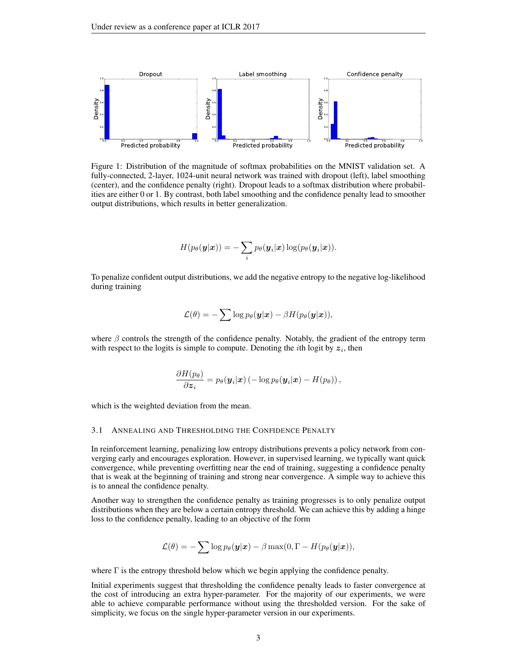

Figure 1: Distribution of the magnitude of softmax probabilities on the MNIST validation set. A fully-connected, 2-layer, 1024-unit neural network was trained with dropout (left), label smoothing (center), and the confidence penalty (right). Dropout leads to a softmax distribution where probabilities are either 0 or 1. By contrast, both label smoothing and the confidence penalty lead to smoother output distributions, which results in better generalization.

$$
H(p_{\theta}(\boldsymbol{y}|\boldsymbol{x})) = -\sum_i p_{\theta}(\boldsymbol{y}_i|\boldsymbol{x}) \log(p_{\theta}(\boldsymbol{y}_i|\boldsymbol{x})).
$$

To penalize confident output distributions, we add the negative entropy to the negative log-likelihood during training

$$
\mathcal{L}(\theta) = -\sum \log p_{\theta}(\mathbf{y}|\mathbf{x}) - \beta H(p_{\theta}(\mathbf{y}|\mathbf{x})),
$$

where  $\beta$  controls the strength of the confidence penalty. Notably, the gradient of the entropy term with respect to the logits is simple to compute. Denoting the *i*th logit by  $z_i$ , then

$$
\frac{\partial H(p_{\theta})}{\partial \boldsymbol{z}_i} = p_{\theta}(\boldsymbol{y}_i|\boldsymbol{x}) \left(-\log p_{\theta}(\boldsymbol{y}_i|\boldsymbol{x}) - H(p_{\theta})\right),\,
$$

which is the weighted deviation from the mean.

#### 3.1 ANNEALING AND THRESHOLDING THE CONFIDENCE PENALTY

In reinforcement learning, penalizing low entropy distributions prevents a policy network from converging early and encourages exploration. However, in supervised learning, we typically want quick convergence, while preventing overfitting near the end of training, suggesting a confidence penalty that is weak at the beginning of training and strong near convergence. A simple way to achieve this is to anneal the confidence penalty.

Another way to strengthen the confidence penalty as training progresses is to only penalize output distributions when they are below a certain entropy threshold. We can achieve this by adding a hinge loss to the confidence penalty, leading to an objective of the form

$$
\mathcal{L}(\theta) = -\sum \log p_{\theta}(\mathbf{y}|\mathbf{x}) - \beta \max(0, \Gamma - H(p_{\theta}(\mathbf{y}|\mathbf{x}))),
$$

where  $\Gamma$  is the entropy threshold below which we begin applying the confidence penalty.

Initial experiments suggest that thresholding the confidence penalty leads to faster convergence at the cost of introducing an extra hyper-parameter. For the majority of our experiments, we were able to achieve comparable performance without using the thresholded version. For the sake of simplicity, we focus on the single hyper-parameter version in our experiments.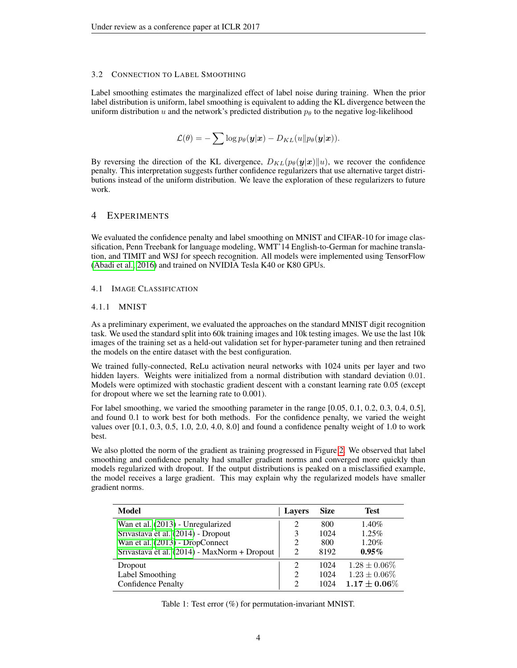#### 3.2 CONNECTION TO LABEL SMOOTHING

Label smoothing estimates the marginalized effect of label noise during training. When the prior label distribution is uniform, label smoothing is equivalent to adding the KL divergence between the uniform distribution u and the network's predicted distribution  $p_{\theta}$  to the negative log-likelihood

$$
\mathcal{L}(\theta) = -\sum \log p_{\theta}(\mathbf{y}|\mathbf{x}) - D_{KL}(u||p_{\theta}(\mathbf{y}|\mathbf{x})).
$$

By reversing the direction of the KL divergence,  $D_{KL}(p_{\theta}(\mathbf{y}|\mathbf{x})||u)$ , we recover the confidence penalty. This interpretation suggests further confidence regularizers that use alternative target distributions instead of the uniform distribution. We leave the exploration of these regularizers to future work.

## 4 EXPERIMENTS

We evaluated the confidence penalty and label smoothing on MNIST and CIFAR-10 for image classification, Penn Treebank for language modeling, WMT'14 English-to-German for machine translation, and TIMIT and WSJ for speech recognition. All models were implemented using TensorFlow [\(Abadi et al., 2016\)](#page-7-2) and trained on NVIDIA Tesla K40 or K80 GPUs.

#### 4.1 IMAGE CLASSIFICATION

#### 4.1.1 MNIST

As a preliminary experiment, we evaluated the approaches on the standard MNIST digit recognition task. We used the standard split into 60k training images and 10k testing images. We use the last 10k images of the training set as a held-out validation set for hyper-parameter tuning and then retrained the models on the entire dataset with the best configuration.

We trained fully-connected, ReLu activation neural networks with 1024 units per layer and two hidden layers. Weights were initialized from a normal distribution with standard deviation 0.01. Models were optimized with stochastic gradient descent with a constant learning rate 0.05 (except for dropout where we set the learning rate to 0.001).

For label smoothing, we varied the smoothing parameter in the range  $[0.05, 0.1, 0.2, 0.3, 0.4, 0.5]$ , and found 0.1 to work best for both methods. For the confidence penalty, we varied the weight values over [0.1, 0.3, 0.5, 1.0, 2.0, 4.0, 8.0] and found a confidence penalty weight of 1.0 to work best.

We also plotted the norm of the gradient as training progressed in Figure [2.](#page-11-0) We observed that label smoothing and confidence penalty had smaller gradient norms and converged more quickly than models regularized with dropout. If the output distributions is peaked on a misclassified example, the model receives a large gradient. This may explain why the regularized models have smaller gradient norms.

| <b>Model</b>                                 | <b>Lavers</b> | <b>Size</b> | <b>Test</b>       |
|----------------------------------------------|---------------|-------------|-------------------|
| Wan et al. (2013) - Unregularized            | 2             | 800         | 1.40%             |
| Srivastava et al. (2014) - Dropout           |               | 1024        | 1.25%             |
| Wan et al. (2013) - DropConnect              | 2             | 800         | 1.20%             |
| Srivastava et al. (2014) - MaxNorm + Dropout |               | 8192        | $0.95\%$          |
| Dropout                                      | 2             | 1024        | $1.28 \pm 0.06\%$ |
| Label Smoothing                              |               | 1024        | $1.23 \pm 0.06\%$ |
| <b>Confidence Penalty</b>                    |               | 1024        | $1.17\pm0.06\%$   |

Table 1: Test error (%) for permutation-invariant MNIST.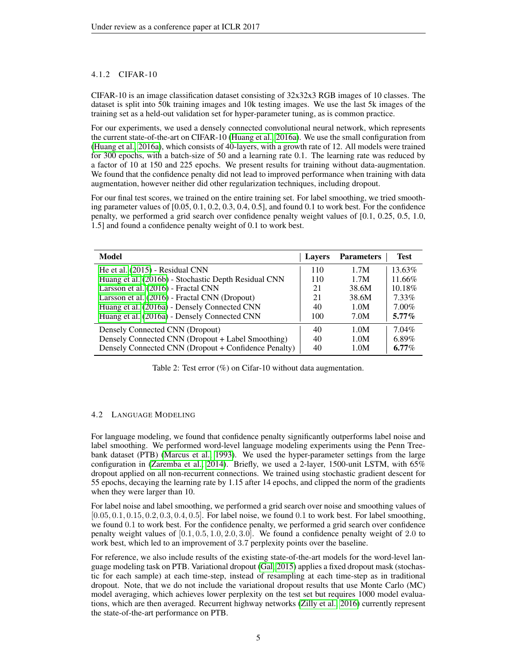## 4.1.2 CIFAR-10

CIFAR-10 is an image classification dataset consisting of 32x32x3 RGB images of 10 classes. The dataset is split into 50k training images and 10k testing images. We use the last 5k images of the training set as a held-out validation set for hyper-parameter tuning, as is common practice.

For our experiments, we used a densely connected convolutional neural network, which represents the current state-of-the-art on CIFAR-10 [\(Huang et al., 2016a\)](#page-8-7). We use the small configuration from [\(Huang et al., 2016a\)](#page-8-7), which consists of 40-layers, with a growth rate of 12. All models were trained for 300 epochs, with a batch-size of 50 and a learning rate 0.1. The learning rate was reduced by a factor of 10 at 150 and 225 epochs. We present results for training without data-augmentation. We found that the confidence penalty did not lead to improved performance when training with data augmentation, however neither did other regularization techniques, including dropout.

For our final test scores, we trained on the entire training set. For label smoothing, we tried smoothing parameter values of [0.05, 0.1, 0.2, 0.3, 0.4, 0.5], and found 0.1 to work best. For the confidence penalty, we performed a grid search over confidence penalty weight values of [0.1, 0.25, 0.5, 1.0, 1.5] and found a confidence penalty weight of 0.1 to work best.

| Model                                                | <b>Layers</b> | <b>Parameters</b> | <b>Test</b> |
|------------------------------------------------------|---------------|-------------------|-------------|
| He et al. (2015) - Residual CNN                      | 110           | 1.7M              | 13.63%      |
| Huang et al. (2016b) - Stochastic Depth Residual CNN | 110           | 1.7M              | 11.66%      |
| Larsson et al. (2016) - Fractal CNN                  | 21            | 38.6M             | 10.18%      |
| Larsson et al. (2016) - Fractal CNN (Dropout)        | 21            | 38.6M             | 7.33%       |
| Huang et al. (2016a) - Densely Connected CNN         | 40            | 1.0M              | 7.00%       |
| Huang et al. (2016a) - Densely Connected CNN         | 100           | 7.0M              | $5.77\%$    |
| Densely Connected CNN (Dropout)                      | 40            | 1.0M              | $7.04\%$    |
| Densely Connected CNN (Dropout + Label Smoothing)    | 40            | 1.0M              | 6.89%       |
| Densely Connected CNN (Dropout + Confidence Penalty) | 40            | 1.0M              | $6.77\%$    |

Table 2: Test error (%) on Cifar-10 without data augmentation.

## 4.2 LANGUAGE MODELING

For language modeling, we found that confidence penalty significantly outperforms label noise and label smoothing. We performed word-level language modeling experiments using the Penn Treebank dataset (PTB) [\(Marcus et al., 1993\)](#page-8-11). We used the hyper-parameter settings from the large configuration in [\(Zaremba et al., 2014\)](#page-9-12). Briefly, we used a 2-layer, 1500-unit LSTM, with 65% dropout applied on all non-recurrent connections. We trained using stochastic gradient descent for 55 epochs, decaying the learning rate by 1.15 after 14 epochs, and clipped the norm of the gradients when they were larger than 10.

For label noise and label smoothing, we performed a grid search over noise and smoothing values of [0.05, 0.1, 0.15, 0.2, 0.3, 0.4, 0.5]. For label noise, we found 0.1 to work best. For label smoothing, we found 0.1 to work best. For the confidence penalty, we performed a grid search over confidence penalty weight values of  $[0.1, 0.5, 1.0, 2.0, 3.0]$ . We found a confidence penalty weight of 2.0 to work best, which led to an improvement of 3.7 perplexity points over the baseline.

For reference, we also include results of the existing state-of-the-art models for the word-level language modeling task on PTB. Variational dropout [\(Gal, 2015\)](#page-8-12) applies a fixed dropout mask (stochastic for each sample) at each time-step, instead of resampling at each time-step as in traditional dropout. Note, that we do not include the variational dropout results that use Monte Carlo (MC) model averaging, which achieves lower perplexity on the test set but requires 1000 model evaluations, which are then averaged. Recurrent highway networks [\(Zilly et al., 2016\)](#page-10-0) currently represent the state-of-the-art performance on PTB.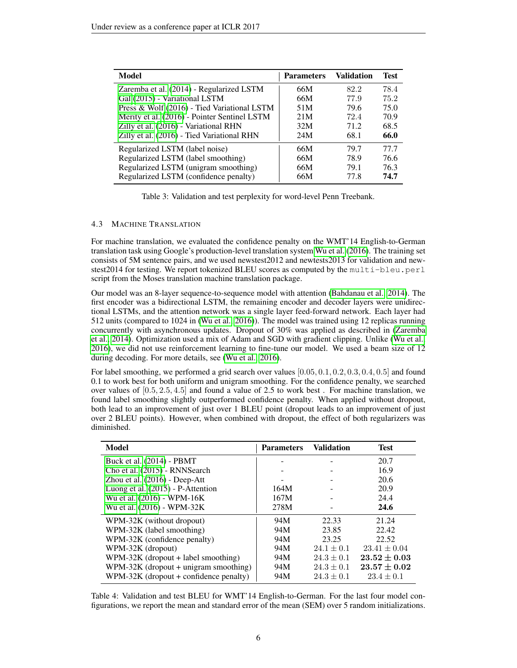| Model                                        | <b>Parameters</b> | <b>Validation</b> | Test |
|----------------------------------------------|-------------------|-------------------|------|
| Zaremba et al. (2014) - Regularized LSTM     | 66M               | 82.2              | 78.4 |
| Gal (2015) - Variational LSTM                | 66M               | 77.9              | 75.2 |
| Press & Wolf (2016) - Tied Variational LSTM  | 51M               | 79.6              | 75.0 |
| Merity et al. (2016) - Pointer Sentinel LSTM | 21M               | 72.4              | 70.9 |
| Zilly et al. (2016) - Variational RHN        | 32M               | 71.2              | 68.5 |
| Zilly et al. (2016) - Tied Variational RHN   | 24M               | 68.1              | 66.0 |
| Regularized LSTM (label noise)               | 66M               | 79.7              | 77.7 |
| Regularized LSTM (label smoothing)           | 66M               | 78.9              | 76.6 |
| Regularized LSTM (unigram smoothing)         | 66M               | 79.1              | 76.3 |
| Regularized LSTM (confidence penalty)        | 66M               | 77.8              | 74.7 |

Table 3: Validation and test perplexity for word-level Penn Treebank.

#### 4.3 MACHINE TRANSLATION

For machine translation, we evaluated the confidence penalty on the WMT'14 English-to-German translation task using Google's production-level translation system [Wu et al.](#page-9-1) [\(2016\)](#page-9-1). The training set consists of 5M sentence pairs, and we used newstest2012 and newtests2013 for validation and newstest2014 for testing. We report tokenized BLEU scores as computed by the multi-bleu.perl script from the Moses translation machine translation package.

Our model was an 8-layer sequence-to-sequence model with attention [\(Bahdanau et al., 2014\)](#page-7-3). The first encoder was a bidirectional LSTM, the remaining encoder and decoder layers were unidirectional LSTMs, and the attention network was a single layer feed-forward network. Each layer had 512 units (compared to 1024 in [\(Wu et al., 2016\)](#page-9-1)). The model was trained using 12 replicas running concurrently with asynchronous updates. Dropout of 30% was applied as described in [\(Zaremba](#page-9-12) [et al., 2014\)](#page-9-12). Optimization used a mix of Adam and SGD with gradient clipping. Unlike [\(Wu et al.,](#page-9-1) [2016\)](#page-9-1), we did not use reinforcement learning to fine-tune our model. We used a beam size of 12 during decoding. For more details, see [\(Wu et al., 2016\)](#page-9-1).

For label smoothing, we performed a grid search over values  $[0.05, 0.1, 0.2, 0.3, 0.4, 0.5]$  and found 0.1 to work best for both uniform and unigram smoothing. For the confidence penalty, we searched over values of  $[0.5, 2.5, 4.5]$  and found a value of 2.5 to work best. For machine translation, we found label smoothing slightly outperformed confidence penalty. When applied without dropout, both lead to an improvement of just over 1 BLEU point (dropout leads to an improvement of just over 2 BLEU points). However, when combined with dropout, the effect of both regularizers was diminished.

| Model                                    | <b>Parameters</b> | <b>Validation</b> | <b>Test</b>      |
|------------------------------------------|-------------------|-------------------|------------------|
| Buck et al. (2014) - PBMT                |                   |                   | 20.7             |
| Cho et al. (2015) - RNNSearch            |                   |                   | 16.9             |
| Zhou et al. (2016) - Deep-Att            |                   |                   | 20.6             |
| Luong et al. (2015) - P-Attention        | 164M              |                   | 20.9             |
| Wu et al. (2016) - WPM-16K               | 167M              | $\overline{a}$    | 24.4             |
| Wu et al. (2016) - WPM-32K               | 278M              |                   | 24.6             |
| WPM-32K (without dropout)                | 94M               | 22.33             | 21.24            |
| WPM-32K (label smoothing)                | 94M               | 23.85             | 22.42            |
| WPM-32K (confidence penalty)             | 94M               | 23.25             | 22.52            |
| WPM-32K (dropout)                        | 94M               | $24.1 \pm 0.1$    | $23.41 \pm 0.04$ |
| $WPM-32K$ (dropout + label smoothing)    | 94M               | $24.3 \pm 0.1$    | $23.52 \pm 0.03$ |
| $WPM-32K$ (dropout + unigram smoothing)  | 94M               | $24.3 \pm 0.1$    | $23.57 \pm 0.02$ |
| $WPM-32K$ (dropout + confidence penalty) | 94M               | $24.3 \pm 0.1$    | $23.4 \pm 0.1$   |

Table 4: Validation and test BLEU for WMT'14 English-to-German. For the last four model configurations, we report the mean and standard error of the mean (SEM) over 5 random initializations.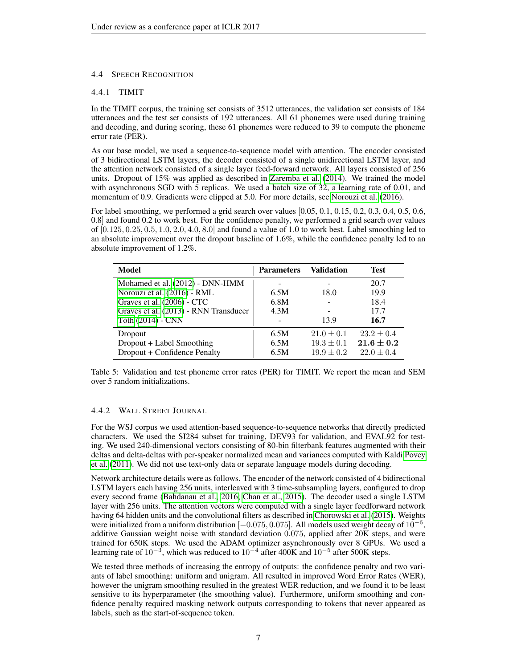#### 4.4 SPEECH RECOGNITION

#### 4.4.1 TIMIT

In the TIMIT corpus, the training set consists of 3512 utterances, the validation set consists of 184 utterances and the test set consists of 192 utterances. All 61 phonemes were used during training and decoding, and during scoring, these 61 phonemes were reduced to 39 to compute the phoneme error rate (PER).

As our base model, we used a sequence-to-sequence model with attention. The encoder consisted of 3 bidirectional LSTM layers, the decoder consisted of a single unidirectional LSTM layer, and the attention network consisted of a single layer feed-forward network. All layers consisted of 256 units. Dropout of 15% was applied as described in [Zaremba et al.](#page-9-12) [\(2014\)](#page-9-12). We trained the model with asynchronous SGD with 5 replicas. We used a batch size of 32, a learning rate of 0.01, and momentum of 0.9. Gradients were clipped at 5.0. For more details, see [Norouzi et al.](#page-9-6) [\(2016\)](#page-9-6).

For label smoothing, we performed a grid search over values [0.05, 0.1, 0.15, 0.2, 0.3, 0.4, 0.5, 0.6, 0.8] and found 0.2 to work best. For the confidence penalty, we performed a grid search over values of  $[0.125, 0.25, 0.5, 1.0, 2.0, 4.0, 8.0]$  and found a value of 1.0 to work best. Label smoothing led to an absolute improvement over the dropout baseline of 1.6%, while the confidence penalty led to an absolute improvement of 1.2%.

| <b>Model</b>                          | <b>Parameters</b> | Validation     | <b>Test</b>    |
|---------------------------------------|-------------------|----------------|----------------|
| Mohamed et al. (2012) - DNN-HMM       |                   |                | 20.7           |
| Norouzi et al. (2016) - RML           | 6.5M              | 18.0           | 19.9           |
| Graves et al. (2006) - CTC            | 6.8M              |                | 18.4           |
| Graves et al. (2013) - RNN Transducer | 4.3M              |                | 17.7           |
| Tóth (2014) - CNN                     |                   | 13.9           | 16.7           |
| Dropout                               | 6.5M              | $21.0 \pm 0.1$ | $23.2 \pm 0.4$ |
| Dropout + Label Smoothing             | 6.5M              | $19.3 \pm 0.1$ | $21.6 \pm 0.2$ |
| Dropout + Confidence Penalty          | 6.5M              | $19.9 \pm 0.2$ | $22.0 \pm 0.4$ |

Table 5: Validation and test phoneme error rates (PER) for TIMIT. We report the mean and SEM over 5 random initializations.

#### 4.4.2 WALL STREET JOURNAL

For the WSJ corpus we used attention-based sequence-to-sequence networks that directly predicted characters. We used the SI284 subset for training, DEV93 for validation, and EVAL92 for testing. We used 240-dimensional vectors consisting of 80-bin filterbank features augmented with their deltas and delta-deltas with per-speaker normalized mean and variances computed with Kaldi [Povey](#page-9-16) [et al.](#page-9-16) [\(2011\)](#page-9-16). We did not use text-only data or separate language models during decoding.

Network architecture details were as follows. The encoder of the network consisted of 4 bidirectional LSTM layers each having 256 units, interleaved with 3 time-subsampling layers, configured to drop every second frame [\(Bahdanau et al., 2016;](#page-7-5) [Chan et al., 2015\)](#page-8-17). The decoder used a single LSTM layer with 256 units. The attention vectors were computed with a single layer feedforward network having 64 hidden units and the convolutional filters as described in [Chorowski et al.](#page-8-18) [\(2015\)](#page-8-18). Weights were initialized from a uniform distribution [ $-0.075, 0.075$ ]. All models used weight decay of  $10^{-6}$ , additive Gaussian weight noise with standard deviation 0.075, applied after 20K steps, and were trained for 650K steps. We used the ADAM optimizer asynchronously over 8 GPUs. We used a learning rate of 10<sup>-3</sup>, which was reduced to 10<sup>-4</sup> after 400K and 10<sup>-5</sup> after 500K steps.

We tested three methods of increasing the entropy of outputs: the confidence penalty and two variants of label smoothing: uniform and unigram. All resulted in improved Word Error Rates (WER), however the unigram smoothing resulted in the greatest WER reduction, and we found it to be least sensitive to its hyperparameter (the smoothing value). Furthermore, uniform smoothing and confidence penalty required masking network outputs corresponding to tokens that never appeared as labels, such as the start-of-sequence token.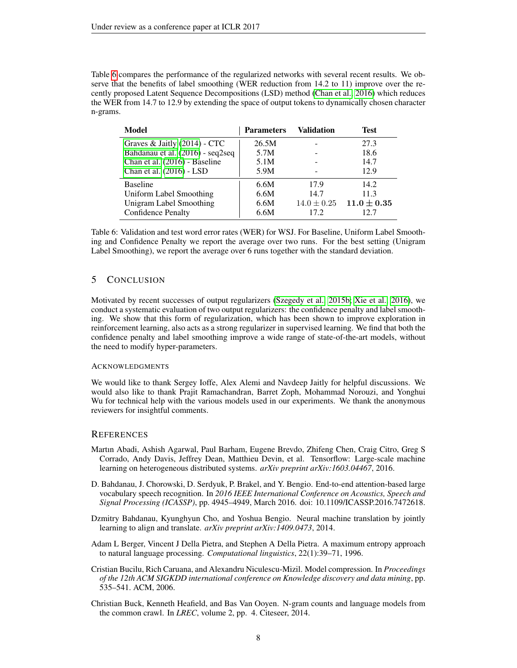Table [6](#page-7-6) compares the performance of the regularized networks with several recent results. We observe that the benefits of label smoothing (WER reduction from 14.2 to 11) improve over the recently proposed Latent Sequence Decompositions (LSD) method [\(Chan et al., 2016\)](#page-8-19) which reduces the WER from 14.7 to 12.9 by extending the space of output tokens to dynamically chosen character n-grams.

| Model                            | <b>Parameters</b> | <b>Validation</b> | <b>Test</b>     |
|----------------------------------|-------------------|-------------------|-----------------|
| Graves & Jaitly (2014) - CTC     | 26.5M             |                   | 27.3            |
| Bahdanau et al. (2016) - seq2seq | 5.7M              |                   | 18.6            |
| Chan et al. (2016) - Baseline    | 5.1M              |                   | 14.7            |
| Chan et al. (2016) - LSD         | 5.9M              |                   | 12.9            |
| <b>Baseline</b>                  | 6.6M              | 17.9              | 14.2.           |
| Uniform Label Smoothing          | 6.6M              | 14.7              | 11.3            |
| <b>Unigram Label Smoothing</b>   | 6.6M              | $14.0 \pm 0.25$   | $11.0 \pm 0.35$ |
| <b>Confidence Penalty</b>        | 6.6M              | 17.2.             | 12.7            |

<span id="page-7-6"></span>Table 6: Validation and test word error rates (WER) for WSJ. For Baseline, Uniform Label Smoothing and Confidence Penalty we report the average over two runs. For the best setting (Unigram Label Smoothing), we report the average over 6 runs together with the standard deviation.

## 5 CONCLUSION

Motivated by recent successes of output regularizers [\(Szegedy et al., 2015b;](#page-9-7) [Xie et al., 2016\)](#page-9-8), we conduct a systematic evaluation of two output regularizers: the confidence penalty and label smoothing. We show that this form of regularization, which has been shown to improve exploration in reinforcement learning, also acts as a strong regularizer in supervised learning. We find that both the confidence penalty and label smoothing improve a wide range of state-of-the-art models, without the need to modify hyper-parameters.

### ACKNOWLEDGMENTS

We would like to thank Sergey Ioffe, Alex Alemi and Navdeep Jaitly for helpful discussions. We would also like to thank Prajit Ramachandran, Barret Zoph, Mohammad Norouzi, and Yonghui Wu for technical help with the various models used in our experiments. We thank the anonymous reviewers for insightful comments.

### **REFERENCES**

- <span id="page-7-2"></span>Martın Abadi, Ashish Agarwal, Paul Barham, Eugene Brevdo, Zhifeng Chen, Craig Citro, Greg S Corrado, Andy Davis, Jeffrey Dean, Matthieu Devin, et al. Tensorflow: Large-scale machine learning on heterogeneous distributed systems. *arXiv preprint arXiv:1603.04467*, 2016.
- <span id="page-7-5"></span>D. Bahdanau, J. Chorowski, D. Serdyuk, P. Brakel, and Y. Bengio. End-to-end attention-based large vocabulary speech recognition. In *2016 IEEE International Conference on Acoustics, Speech and Signal Processing (ICASSP)*, pp. 4945–4949, March 2016. doi: 10.1109/ICASSP.2016.7472618.
- <span id="page-7-3"></span>Dzmitry Bahdanau, Kyunghyun Cho, and Yoshua Bengio. Neural machine translation by jointly learning to align and translate. *arXiv preprint arXiv:1409.0473*, 2014.
- <span id="page-7-1"></span>Adam L Berger, Vincent J Della Pietra, and Stephen A Della Pietra. A maximum entropy approach to natural language processing. *Computational linguistics*, 22(1):39–71, 1996.
- <span id="page-7-0"></span>Cristian Bucilu, Rich Caruana, and Alexandru Niculescu-Mizil. Model compression. In *Proceedings of the 12th ACM SIGKDD international conference on Knowledge discovery and data mining*, pp. 535–541. ACM, 2006.
- <span id="page-7-4"></span>Christian Buck, Kenneth Heafield, and Bas Van Ooyen. N-gram counts and language models from the common crawl. In *LREC*, volume 2, pp. 4. Citeseer, 2014.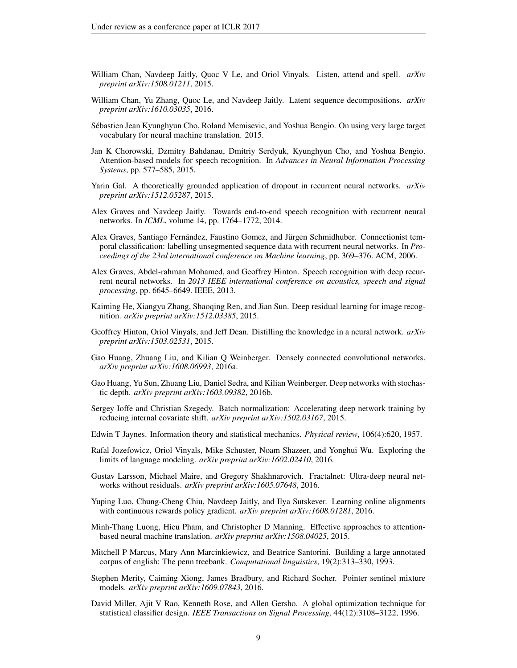- <span id="page-8-17"></span>William Chan, Navdeep Jaitly, Quoc V Le, and Oriol Vinyals. Listen, attend and spell. *arXiv preprint arXiv:1508.01211*, 2015.
- <span id="page-8-19"></span>William Chan, Yu Zhang, Quoc Le, and Navdeep Jaitly. Latent sequence decompositions. *arXiv preprint arXiv:1610.03035*, 2016.
- <span id="page-8-14"></span>Sebastien Jean Kyunghyun Cho, Roland Memisevic, and Yoshua Bengio. On using very large target ´ vocabulary for neural machine translation. 2015.
- <span id="page-8-18"></span>Jan K Chorowski, Dzmitry Bahdanau, Dmitriy Serdyuk, Kyunghyun Cho, and Yoshua Bengio. Attention-based models for speech recognition. In *Advances in Neural Information Processing Systems*, pp. 577–585, 2015.
- <span id="page-8-12"></span>Yarin Gal. A theoretically grounded application of dropout in recurrent neural networks. *arXiv preprint arXiv:1512.05287*, 2015.
- <span id="page-8-20"></span>Alex Graves and Navdeep Jaitly. Towards end-to-end speech recognition with recurrent neural networks. In *ICML*, volume 14, pp. 1764–1772, 2014.
- <span id="page-8-16"></span>Alex Graves, Santiago Fernández, Faustino Gomez, and Jürgen Schmidhuber. Connectionist temporal classification: labelling unsegmented sequence data with recurrent neural networks. In *Proceedings of the 23rd international conference on Machine learning*, pp. 369–376. ACM, 2006.
- <span id="page-8-1"></span>Alex Graves, Abdel-rahman Mohamed, and Geoffrey Hinton. Speech recognition with deep recurrent neural networks. In *2013 IEEE international conference on acoustics, speech and signal processing*, pp. 6645–6649. IEEE, 2013.
- <span id="page-8-8"></span>Kaiming He, Xiangyu Zhang, Shaoqing Ren, and Jian Sun. Deep residual learning for image recognition. *arXiv preprint arXiv:1512.03385*, 2015.
- <span id="page-8-3"></span>Geoffrey Hinton, Oriol Vinyals, and Jeff Dean. Distilling the knowledge in a neural network. *arXiv preprint arXiv:1503.02531*, 2015.
- <span id="page-8-7"></span>Gao Huang, Zhuang Liu, and Kilian Q Weinberger. Densely connected convolutional networks. *arXiv preprint arXiv:1608.06993*, 2016a.
- <span id="page-8-9"></span>Gao Huang, Yu Sun, Zhuang Liu, Daniel Sedra, and Kilian Weinberger. Deep networks with stochastic depth. *arXiv preprint arXiv:1603.09382*, 2016b.
- <span id="page-8-2"></span>Sergey Ioffe and Christian Szegedy. Batch normalization: Accelerating deep network training by reducing internal covariate shift. *arXiv preprint arXiv:1502.03167*, 2015.
- <span id="page-8-4"></span>Edwin T Jaynes. Information theory and statistical mechanics. *Physical review*, 106(4):620, 1957.
- <span id="page-8-0"></span>Rafal Jozefowicz, Oriol Vinyals, Mike Schuster, Noam Shazeer, and Yonghui Wu. Exploring the limits of language modeling. *arXiv preprint arXiv:1602.02410*, 2016.
- <span id="page-8-10"></span>Gustav Larsson, Michael Maire, and Gregory Shakhnarovich. Fractalnet: Ultra-deep neural networks without residuals. *arXiv preprint arXiv:1605.07648*, 2016.
- <span id="page-8-6"></span>Yuping Luo, Chung-Cheng Chiu, Navdeep Jaitly, and Ilya Sutskever. Learning online alignments with continuous rewards policy gradient. *arXiv preprint arXiv:1608.01281*, 2016.
- <span id="page-8-15"></span>Minh-Thang Luong, Hieu Pham, and Christopher D Manning. Effective approaches to attentionbased neural machine translation. *arXiv preprint arXiv:1508.04025*, 2015.
- <span id="page-8-11"></span>Mitchell P Marcus, Mary Ann Marcinkiewicz, and Beatrice Santorini. Building a large annotated corpus of english: The penn treebank. *Computational linguistics*, 19(2):313–330, 1993.
- <span id="page-8-13"></span>Stephen Merity, Caiming Xiong, James Bradbury, and Richard Socher. Pointer sentinel mixture models. *arXiv preprint arXiv:1609.07843*, 2016.
- <span id="page-8-5"></span>David Miller, Ajit V Rao, Kenneth Rose, and Allen Gersho. A global optimization technique for statistical classifier design. *IEEE Transactions on Signal Processing*, 44(12):3108–3122, 1996.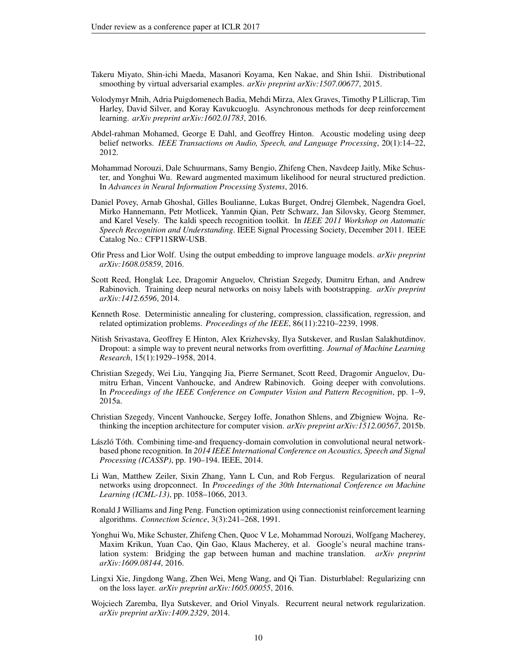- <span id="page-9-10"></span>Takeru Miyato, Shin-ichi Maeda, Masanori Koyama, Ken Nakae, and Shin Ishii. Distributional smoothing by virtual adversarial examples. *arXiv preprint arXiv:1507.00677*, 2015.
- <span id="page-9-5"></span>Volodymyr Mnih, Adria Puigdomenech Badia, Mehdi Mirza, Alex Graves, Timothy P Lillicrap, Tim Harley, David Silver, and Koray Kavukcuoglu. Asynchronous methods for deep reinforcement learning. *arXiv preprint arXiv:1602.01783*, 2016.
- <span id="page-9-14"></span>Abdel-rahman Mohamed, George E Dahl, and Geoffrey Hinton. Acoustic modeling using deep belief networks. *IEEE Transactions on Audio, Speech, and Language Processing*, 20(1):14–22, 2012.
- <span id="page-9-6"></span>Mohammad Norouzi, Dale Schuurmans, Samy Bengio, Zhifeng Chen, Navdeep Jaitly, Mike Schuster, and Yonghui Wu. Reward augmented maximum likelihood for neural structured prediction. In *Advances in Neural Information Processing Systems*, 2016.
- <span id="page-9-16"></span>Daniel Povey, Arnab Ghoshal, Gilles Boulianne, Lukas Burget, Ondrej Glembek, Nagendra Goel, Mirko Hannemann, Petr Motlicek, Yanmin Qian, Petr Schwarz, Jan Silovsky, Georg Stemmer, and Karel Vesely. The kaldi speech recognition toolkit. In *IEEE 2011 Workshop on Automatic Speech Recognition and Understanding*. IEEE Signal Processing Society, December 2011. IEEE Catalog No.: CFP11SRW-USB.
- <span id="page-9-13"></span>Ofir Press and Lior Wolf. Using the output embedding to improve language models. *arXiv preprint arXiv:1608.05859*, 2016.
- <span id="page-9-9"></span>Scott Reed, Honglak Lee, Dragomir Anguelov, Christian Szegedy, Dumitru Erhan, and Andrew Rabinovich. Training deep neural networks on noisy labels with bootstrapping. *arXiv preprint arXiv:1412.6596*, 2014.
- <span id="page-9-3"></span>Kenneth Rose. Deterministic annealing for clustering, compression, classification, regression, and related optimization problems. *Proceedings of the IEEE*, 86(11):2210–2239, 1998.
- <span id="page-9-2"></span>Nitish Srivastava, Geoffrey E Hinton, Alex Krizhevsky, Ilya Sutskever, and Ruslan Salakhutdinov. Dropout: a simple way to prevent neural networks from overfitting. *Journal of Machine Learning Research*, 15(1):1929–1958, 2014.
- <span id="page-9-0"></span>Christian Szegedy, Wei Liu, Yangqing Jia, Pierre Sermanet, Scott Reed, Dragomir Anguelov, Dumitru Erhan, Vincent Vanhoucke, and Andrew Rabinovich. Going deeper with convolutions. In *Proceedings of the IEEE Conference on Computer Vision and Pattern Recognition*, pp. 1–9, 2015a.
- <span id="page-9-7"></span>Christian Szegedy, Vincent Vanhoucke, Sergey Ioffe, Jonathon Shlens, and Zbigniew Wojna. Rethinking the inception architecture for computer vision. *arXiv preprint arXiv:1512.00567*, 2015b.
- <span id="page-9-15"></span>László Tóth. Combining time-and frequency-domain convolution in convolutional neural networkbased phone recognition. In *2014 IEEE International Conference on Acoustics, Speech and Signal Processing (ICASSP)*, pp. 190–194. IEEE, 2014.
- <span id="page-9-11"></span>Li Wan, Matthew Zeiler, Sixin Zhang, Yann L Cun, and Rob Fergus. Regularization of neural networks using dropconnect. In *Proceedings of the 30th International Conference on Machine Learning (ICML-13)*, pp. 1058–1066, 2013.
- <span id="page-9-4"></span>Ronald J Williams and Jing Peng. Function optimization using connectionist reinforcement learning algorithms. *Connection Science*, 3(3):241–268, 1991.
- <span id="page-9-1"></span>Yonghui Wu, Mike Schuster, Zhifeng Chen, Quoc V Le, Mohammad Norouzi, Wolfgang Macherey, Maxim Krikun, Yuan Cao, Qin Gao, Klaus Macherey, et al. Google's neural machine translation system: Bridging the gap between human and machine translation. *arXiv preprint arXiv:1609.08144*, 2016.
- <span id="page-9-8"></span>Lingxi Xie, Jingdong Wang, Zhen Wei, Meng Wang, and Qi Tian. Disturblabel: Regularizing cnn on the loss layer. *arXiv preprint arXiv:1605.00055*, 2016.
- <span id="page-9-12"></span>Wojciech Zaremba, Ilya Sutskever, and Oriol Vinyals. Recurrent neural network regularization. *arXiv preprint arXiv:1409.2329*, 2014.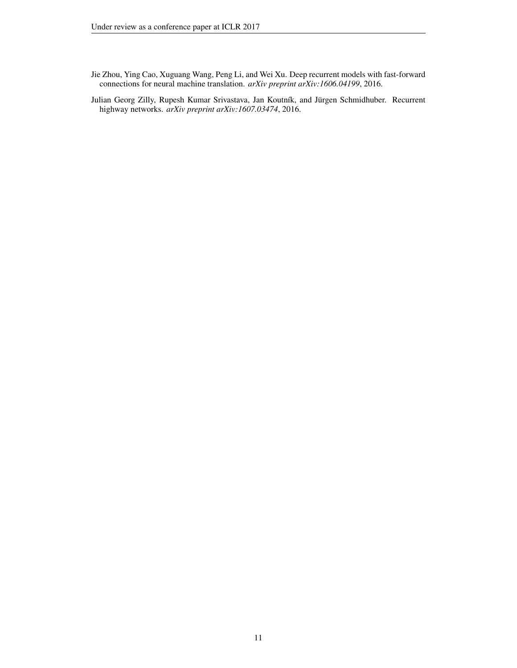- <span id="page-10-1"></span>Jie Zhou, Ying Cao, Xuguang Wang, Peng Li, and Wei Xu. Deep recurrent models with fast-forward connections for neural machine translation. *arXiv preprint arXiv:1606.04199*, 2016.
- <span id="page-10-0"></span>Julian Georg Zilly, Rupesh Kumar Srivastava, Jan Koutník, and Jürgen Schmidhuber. Recurrent highway networks. *arXiv preprint arXiv:1607.03474*, 2016.